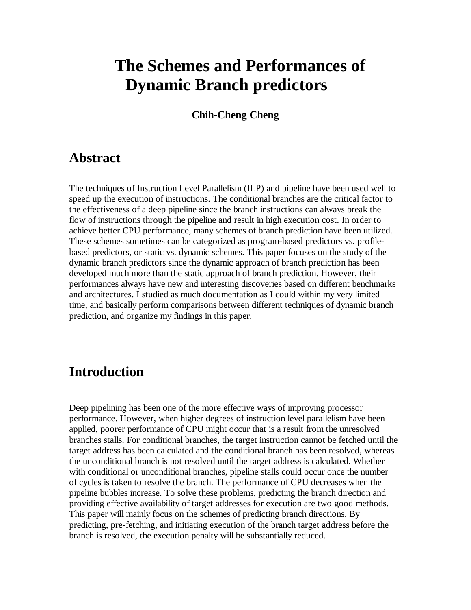# **The Schemes and Performances of Dynamic Branch predictors**

**Chih-Cheng Cheng**

# **Abstract**

The techniques of Instruction Level Parallelism (ILP) and pipeline have been used well to speed up the execution of instructions. The conditional branches are the critical factor to the effectiveness of a deep pipeline since the branch instructions can always break the flow of instructions through the pipeline and result in high execution cost. In order to achieve better CPU performance, many schemes of branch prediction have been utilized. These schemes sometimes can be categorized as program-based predictors vs. profilebased predictors, or static vs. dynamic schemes. This paper focuses on the study of the dynamic branch predictors since the dynamic approach of branch prediction has been developed much more than the static approach of branch prediction. However, their performances always have new and interesting discoveries based on different benchmarks and architectures. I studied as much documentation as I could within my very limited time, and basically perform comparisons between different techniques of dynamic branch prediction, and organize my findings in this paper.

# **Introduction**

Deep pipelining has been one of the more effective ways of improving processor performance. However, when higher degrees of instruction level parallelism have been applied, poorer performance of CPU might occur that is a result from the unresolved branches stalls. For conditional branches, the target instruction cannot be fetched until the target address has been calculated and the conditional branch has been resolved, whereas the unconditional branch is not resolved until the target address is calculated. Whether with conditional or unconditional branches, pipeline stalls could occur once the number of cycles is taken to resolve the branch. The performance of CPU decreases when the pipeline bubbles increase. To solve these problems, predicting the branch direction and providing effective availability of target addresses for execution are two good methods. This paper will mainly focus on the schemes of predicting branch directions. By predicting, pre-fetching, and initiating execution of the branch target address before the branch is resolved, the execution penalty will be substantially reduced.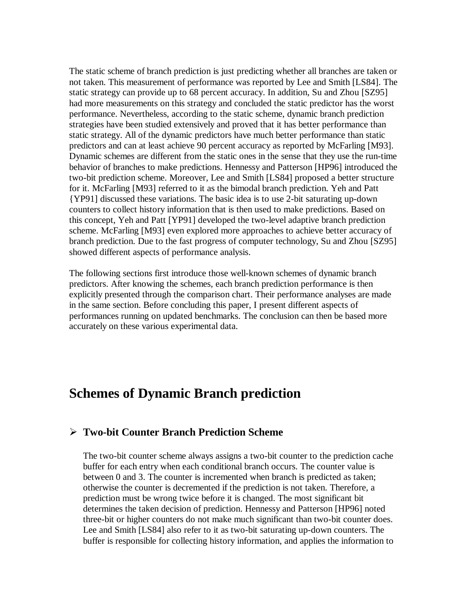The static scheme of branch prediction is just predicting whether all branches are taken or not taken. This measurement of performance was reported by Lee and Smith [LS84]. The static strategy can provide up to 68 percent accuracy. In addition, Su and Zhou [SZ95] had more measurements on this strategy and concluded the static predictor has the worst performance. Nevertheless, according to the static scheme, dynamic branch prediction strategies have been studied extensively and proved that it has better performance than static strategy. All of the dynamic predictors have much better performance than static predictors and can at least achieve 90 percent accuracy as reported by McFarling [M93]. Dynamic schemes are different from the static ones in the sense that they use the run-time behavior of branches to make predictions. Hennessy and Patterson [HP96] introduced the two-bit prediction scheme. Moreover, Lee and Smith [LS84] proposed a better structure for it. McFarling [M93] referred to it as the bimodal branch prediction. Yeh and Patt {YP91] discussed these variations. The basic idea is to use 2-bit saturating up-down counters to collect history information that is then used to make predictions. Based on this concept, Yeh and Patt [YP91] developed the two-level adaptive branch prediction scheme. McFarling [M93] even explored more approaches to achieve better accuracy of branch prediction. Due to the fast progress of computer technology, Su and Zhou [SZ95] showed different aspects of performance analysis.

The following sections first introduce those well-known schemes of dynamic branch predictors. After knowing the schemes, each branch prediction performance is then explicitly presented through the comparison chart. Their performance analyses are made in the same section. Before concluding this paper, I present different aspects of performances running on updated benchmarks. The conclusion can then be based more accurately on these various experimental data.

# **Schemes of Dynamic Branch prediction**

### ÿ **Two-bit Counter Branch Prediction Scheme**

The two-bit counter scheme always assigns a two-bit counter to the prediction cache buffer for each entry when each conditional branch occurs. The counter value is between 0 and 3. The counter is incremented when branch is predicted as taken; otherwise the counter is decremented if the prediction is not taken. Therefore, a prediction must be wrong twice before it is changed. The most significant bit determines the taken decision of prediction. Hennessy and Patterson [HP96] noted three-bit or higher counters do not make much significant than two-bit counter does. Lee and Smith [LS84] also refer to it as two-bit saturating up-down counters. The buffer is responsible for collecting history information, and applies the information to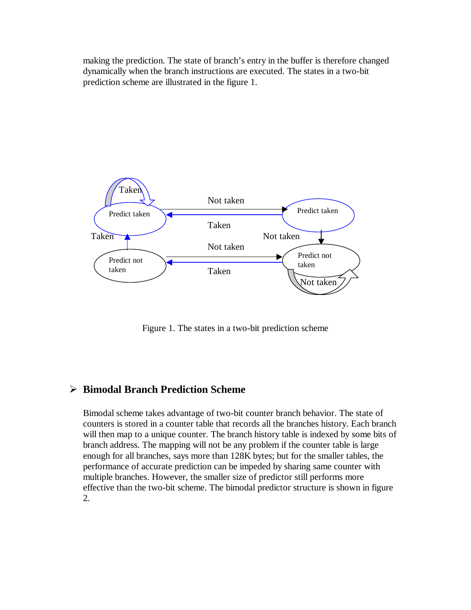making the prediction. The state of branch's entry in the buffer is therefore changed dynamically when the branch instructions are executed. The states in a two-bit prediction scheme are illustrated in the figure 1.



Figure 1. The states in a two-bit prediction scheme

### ÿ **Bimodal Branch Prediction Scheme**

Bimodal scheme takes advantage of two-bit counter branch behavior. The state of counters is stored in a counter table that records all the branches history. Each branch will then map to a unique counter. The branch history table is indexed by some bits of branch address. The mapping will not be any problem if the counter table is large enough for all branches, says more than 128K bytes; but for the smaller tables, the performance of accurate prediction can be impeded by sharing same counter with multiple branches. However, the smaller size of predictor still performs more effective than the two-bit scheme. The bimodal predictor structure is shown in figure 2.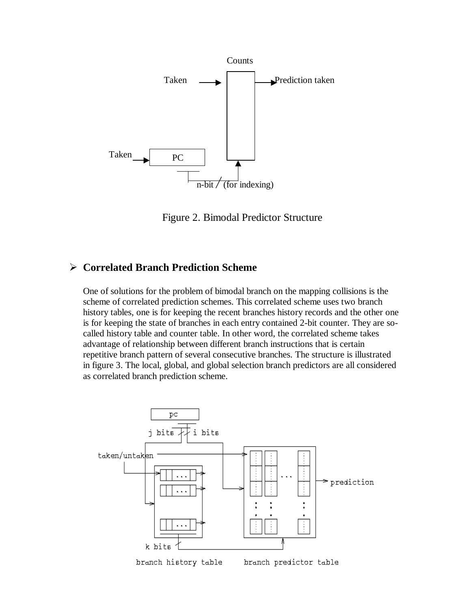

Figure 2. Bimodal Predictor Structure

### ÿ **Correlated Branch Prediction Scheme**

One of solutions for the problem of bimodal branch on the mapping collisions is the scheme of correlated prediction schemes. This correlated scheme uses two branch history tables, one is for keeping the recent branches history records and the other one is for keeping the state of branches in each entry contained 2-bit counter. They are socalled history table and counter table. In other word, the correlated scheme takes advantage of relationship between different branch instructions that is certain repetitive branch pattern of several consecutive branches. The structure is illustrated in figure 3. The local, global, and global selection branch predictors are all considered as correlated branch prediction scheme.

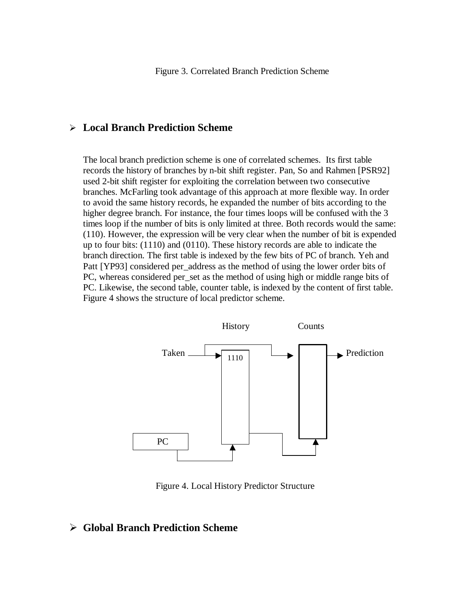### ÿ **Local Branch Prediction Scheme**

The local branch prediction scheme is one of correlated schemes. Its first table records the history of branches by n-bit shift register. Pan, So and Rahmen [PSR92] used 2-bit shift register for exploiting the correlation between two consecutive branches. McFarling took advantage of this approach at more flexible way. In order to avoid the same history records, he expanded the number of bits according to the higher degree branch. For instance, the four times loops will be confused with the 3 times loop if the number of bits is only limited at three. Both records would the same: (110). However, the expression will be very clear when the number of bit is expended up to four bits: (1110) and (0110). These history records are able to indicate the branch direction. The first table is indexed by the few bits of PC of branch. Yeh and Patt [YP93] considered per\_address as the method of using the lower order bits of PC, whereas considered per\_set as the method of using high or middle range bits of PC. Likewise, the second table, counter table, is indexed by the content of first table. Figure 4 shows the structure of local predictor scheme.



Figure 4. Local History Predictor Structure

### ÿ **Global Branch Prediction Scheme**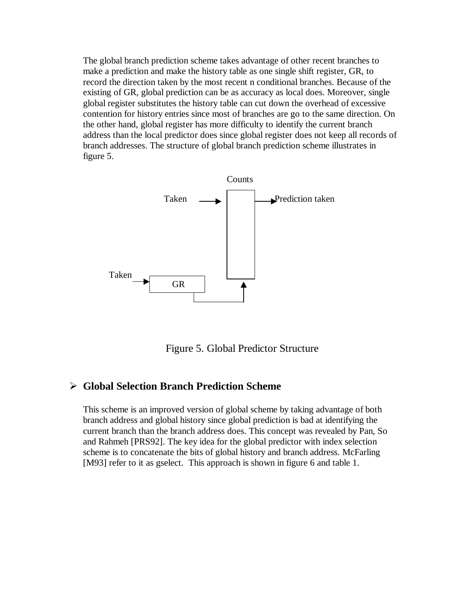The global branch prediction scheme takes advantage of other recent branches to make a prediction and make the history table as one single shift register, GR, to record the direction taken by the most recent n conditional branches. Because of the existing of GR, global prediction can be as accuracy as local does. Moreover, single global register substitutes the history table can cut down the overhead of excessive contention for history entries since most of branches are go to the same direction. On the other hand, global register has more difficulty to identify the current branch address than the local predictor does since global register does not keep all records of branch addresses. The structure of global branch prediction scheme illustrates in figure 5.



Figure 5. Global Predictor Structure

### ÿ **Global Selection Branch Prediction Scheme**

This scheme is an improved version of global scheme by taking advantage of both branch address and global history since global prediction is bad at identifying the current branch than the branch address does. This concept was revealed by Pan, So and Rahmeh [PRS92]. The key idea for the global predictor with index selection scheme is to concatenate the bits of global history and branch address. McFarling [M93] refer to it as gselect. This approach is shown in figure 6 and table 1.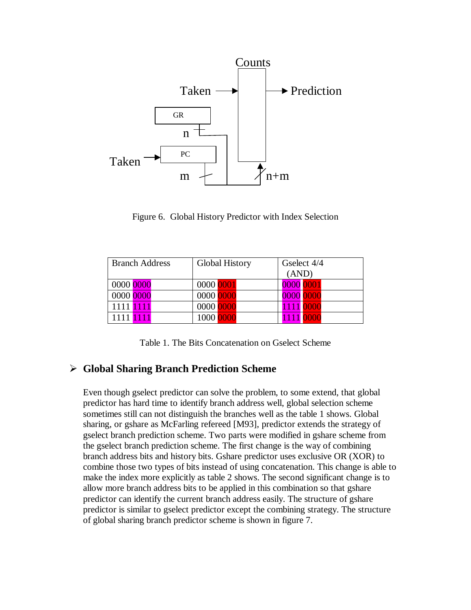

Figure 6. Global History Predictor with Index Selection

| <b>Branch Address</b> | <b>Global History</b> | Gselect 4/4 |  |
|-----------------------|-----------------------|-------------|--|
|                       |                       | (AND)       |  |
| 0000 0000             | 0000 0001             | 0000 0001   |  |
| 0000 0000             | 0000 0000             | 0000 0000   |  |
| 1111 1111             | 0000 0000             | 1111 0000   |  |
| 1111 <b>1111</b>      | 1000 0000             | 1111 0000   |  |

Table 1. The Bits Concatenation on Gselect Scheme

### ÿ **Global Sharing Branch Prediction Scheme**

Even though gselect predictor can solve the problem, to some extend, that global predictor has hard time to identify branch address well, global selection scheme sometimes still can not distinguish the branches well as the table 1 shows. Global sharing, or gshare as McFarling refereed [M93], predictor extends the strategy of gselect branch prediction scheme. Two parts were modified in gshare scheme from the gselect branch prediction scheme. The first change is the way of combining branch address bits and history bits. Gshare predictor uses exclusive OR (XOR) to combine those two types of bits instead of using concatenation. This change is able to make the index more explicitly as table 2 shows. The second significant change is to allow more branch address bits to be applied in this combination so that gshare predictor can identify the current branch address easily. The structure of gshare predictor is similar to gselect predictor except the combining strategy. The structure of global sharing branch predictor scheme is shown in figure 7.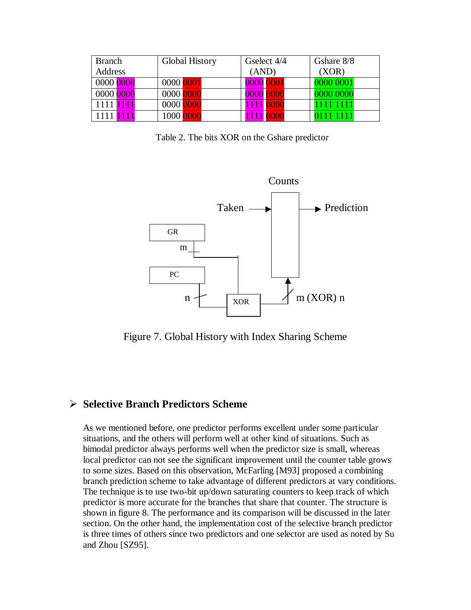| <b>Branch</b> | <b>Global History</b> | Gselect 4/4 | Gshare 8/8 |  |
|---------------|-----------------------|-------------|------------|--|
| Address       | (AND)                 |             | (XOR)      |  |
| 0000 0000     | 0000 0001             | 0000 0001   | 0000 0001  |  |
| 0000 0000     | 0000 0000             | 0000 0000   | 0000 0000  |  |
| 1111 1111     | 0000 0000             | 1111 0000   | 1111 1111  |  |
|               | 1000 0000             | 11111       |            |  |

Table 2. The bits XOR on the Gshare predictor



Figure 7. Global History with Index Sharing Scheme

### ÿ **Selective Branch Predictors Scheme**

As we mentioned before, one predictor performs excellent under some particular situations, and the others will perform well at other kind of situations. Such as bimodal predictor always performs well when the predictor size is small, whereas local predictor can not see the significant improvement until the counter table grows to some sizes. Based on this observation, McFarling [M93] proposed a combining branch prediction scheme to take advantage of different predictors at vary conditions. The technique is to use two-bit up/down saturating counters to keep track of which predictor is more accurate for the branches that share that counter. The structure is shown in figure 8. The performance and its comparison will be discussed in the later section. On the other hand, the implementation cost of the selective branch predictor is three times of others since two predictors and one selector are used as noted by Su and Zhou [SZ95].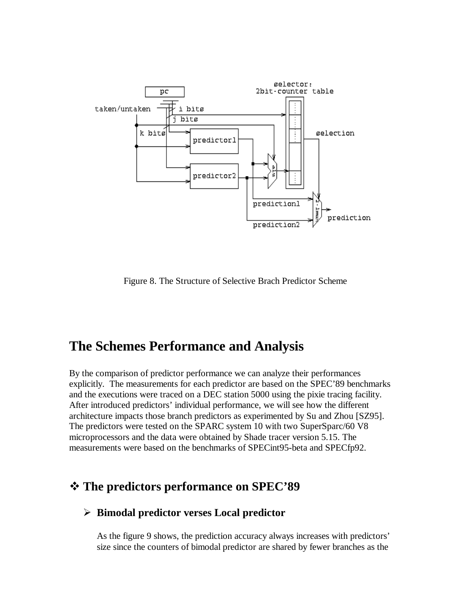

Figure 8. The Structure of Selective Brach Predictor Scheme

# **The Schemes Performance and Analysis**

By the comparison of predictor performance we can analyze their performances explicitly. The measurements for each predictor are based on the SPEC'89 benchmarks and the executions were traced on a DEC station 5000 using the pixie tracing facility. After introduced predictors' individual performance, we will see how the different architecture impacts those branch predictors as experimented by Su and Zhou [SZ95]. The predictors were tested on the SPARC system 10 with two SuperSparc/60 V8 microprocessors and the data were obtained by Shade tracer version 5.15. The measurements were based on the benchmarks of SPECint95-beta and SPECfp92.

### v **The predictors performance on SPEC'89**

### ÿ **Bimodal predictor verses Local predictor**

As the figure 9 shows, the prediction accuracy always increases with predictors' size since the counters of bimodal predictor are shared by fewer branches as the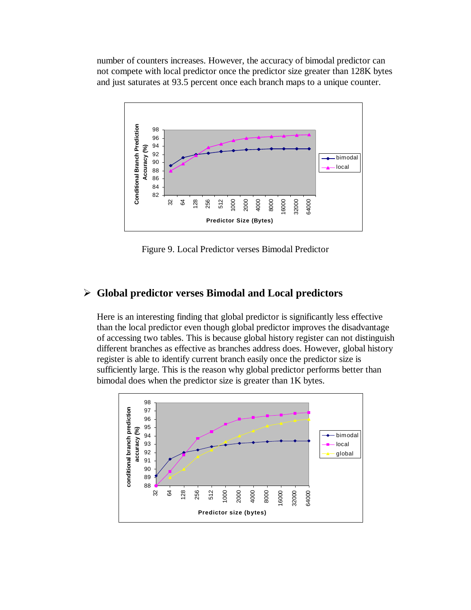number of counters increases. However, the accuracy of bimodal predictor can not compete with local predictor once the predictor size greater than 128K bytes and just saturates at 93.5 percent once each branch maps to a unique counter.



Figure 9. Local Predictor verses Bimodal Predictor

### ÿ **Global predictor verses Bimodal and Local predictors**

Here is an interesting finding that global predictor is significantly less effective than the local predictor even though global predictor improves the disadvantage of accessing two tables. This is because global history register can not distinguish different branches as effective as branches address does. However, global history register is able to identify current branch easily once the predictor size is sufficiently large. This is the reason why global predictor performs better than bimodal does when the predictor size is greater than 1K bytes.

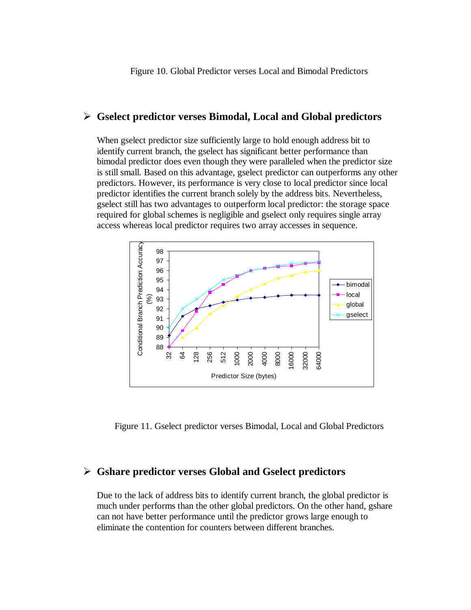#### ÿ **Gselect predictor verses Bimodal, Local and Global predictors**

When gselect predictor size sufficiently large to hold enough address bit to identify current branch, the gselect has significant better performance than bimodal predictor does even though they were paralleled when the predictor size is still small. Based on this advantage, gselect predictor can outperforms any other predictors. However, its performance is very close to local predictor since local predictor identifies the current branch solely by the address bits. Nevertheless, gselect still has two advantages to outperform local predictor: the storage space required for global schemes is negligible and gselect only requires single array access whereas local predictor requires two array accesses in sequence.



Figure 11. Gselect predictor verses Bimodal, Local and Global Predictors

#### ÿ **Gshare predictor verses Global and Gselect predictors**

Due to the lack of address bits to identify current branch, the global predictor is much under performs than the other global predictors. On the other hand, gshare can not have better performance until the predictor grows large enough to eliminate the contention for counters between different branches.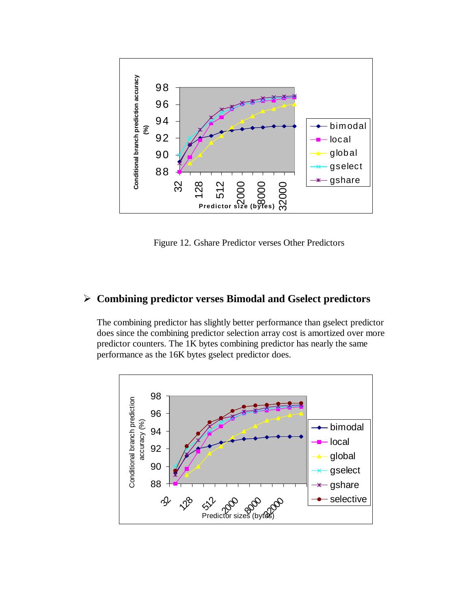

Figure 12. Gshare Predictor verses Other Predictors

### ÿ **Combining predictor verses Bimodal and Gselect predictors**

The combining predictor has slightly better performance than gselect predictor does since the combining predictor selection array cost is amortized over more predictor counters. The 1K bytes combining predictor has nearly the same performance as the 16K bytes gselect predictor does.

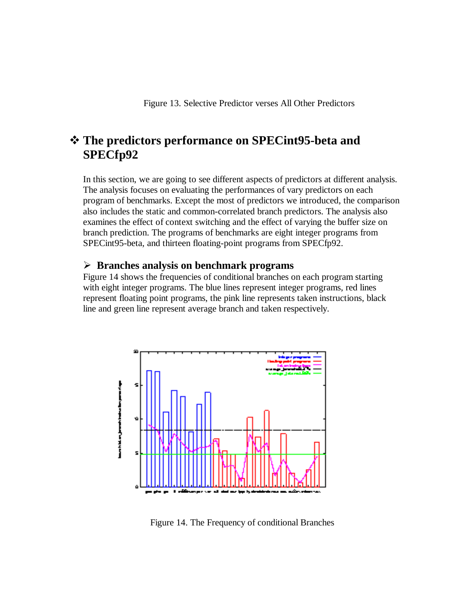## v **The predictors performance on SPECint95-beta and SPECfp92**

In this section, we are going to see different aspects of predictors at different analysis. The analysis focuses on evaluating the performances of vary predictors on each program of benchmarks. Except the most of predictors we introduced, the comparison also includes the static and common-correlated branch predictors. The analysis also examines the effect of context switching and the effect of varying the buffer size on branch prediction. The programs of benchmarks are eight integer programs from SPECint95-beta, and thirteen floating-point programs from SPECfp92.

#### ÿ **Branches analysis on benchmark programs**

Figure 14 shows the frequencies of conditional branches on each program starting with eight integer programs. The blue lines represent integer programs, red lines represent floating point programs, the pink line represents taken instructions, black line and green line represent average branch and taken respectively.



Figure 14. The Frequency of conditional Branches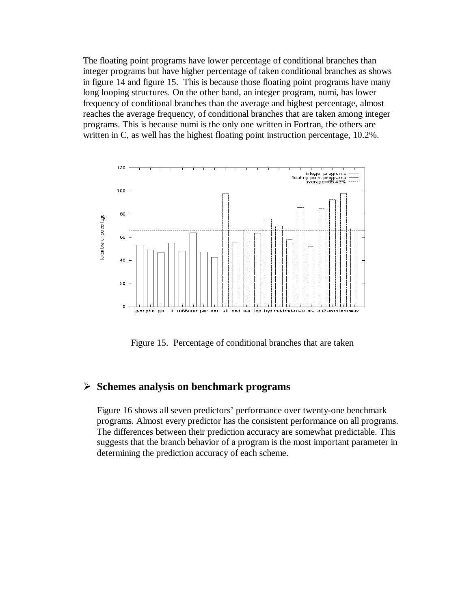The floating point programs have lower percentage of conditional branches than integer programs but have higher percentage of taken conditional branches as shows in figure 14 and figure 15. This is because those floating point programs have many long looping structures. On the other hand, an integer program, numi, has lower frequency of conditional branches than the average and highest percentage, almost reaches the average frequency, of conditional branches that are taken among integer programs. This is because numi is the only one written in Fortran, the others are written in C, as well has the highest floating point instruction percentage, 10.2%.



Figure 15. Percentage of conditional branches that are taken

### ÿ **Schemes analysis on benchmark programs**

Figure 16 shows all seven predictors' performance over twenty-one benchmark programs. Almost every predictor has the consistent performance on all programs. The differences between their prediction accuracy are somewhat predictable. This suggests that the branch behavior of a program is the most important parameter in determining the prediction accuracy of each scheme.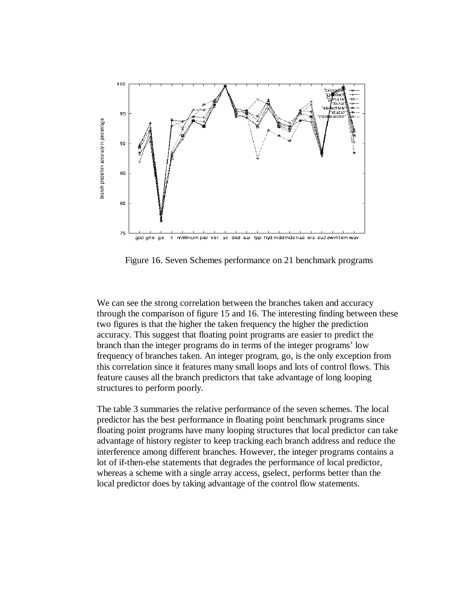

Figure 16. Seven Schemes performance on 21 benchmark programs

We can see the strong correlation between the branches taken and accuracy through the comparison of figure 15 and 16. The interesting finding between these two figures is that the higher the taken frequency the higher the prediction accuracy. This suggest that floating point programs are easier to predict the branch than the integer programs do in terms of the integer programs' low frequency of branches taken. An integer program, go, is the only exception from this correlation since it features many small loops and lots of control flows. This feature causes all the branch predictors that take advantage of long looping structures to perform poorly.

The table 3 summaries the relative performance of the seven schemes. The local predictor has the best performance in floating point benchmark programs since floating point programs have many looping structures that local predictor can take advantage of history register to keep tracking each branch address and reduce the interference among different branches. However, the integer programs contains a lot of if-then-else statements that degrades the performance of local predictor, whereas a scheme with a single array access, gselect, performs better than the local predictor does by taking advantage of the control flow statements.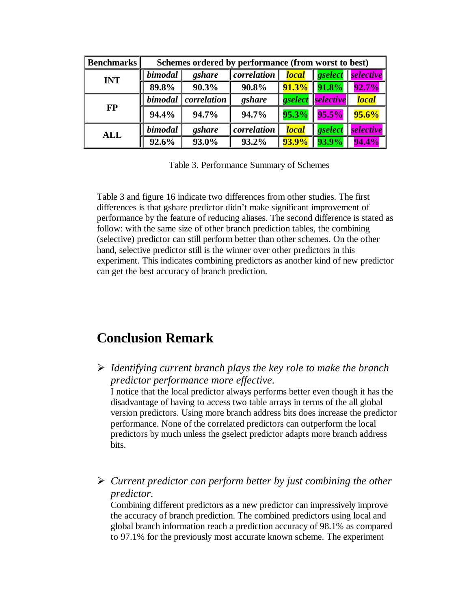| <b>Benchmarks</b> | Schemes ordered by performance (from worst to best) |             |             |              |            |              |  |
|-------------------|-----------------------------------------------------|-------------|-------------|--------------|------------|--------------|--|
| <b>INT</b>        | bimodal                                             | gshare      | correlation | <b>local</b> | gselect    | selective    |  |
|                   | 89.8%                                               | 90.3%       | 90.8%       | $91.3\%$     | 91.8%      | 92.7%        |  |
| <b>FP</b>         | bimodal                                             | correlation | gshare      | gselect      | selective  | <b>local</b> |  |
|                   | 94.4%                                               | 94.7%       | 94.7%       | 95.3%        | L<br>95.5% | $95.6\%$     |  |
| <b>ALL</b>        | bimodal                                             | gshare      | correlation | <b>local</b> | gselect    | selective    |  |
|                   | 92.6%                                               | 93.0%       | 93.2%       | <b>93.9%</b> | 93.9%      | 94.4%        |  |

Table 3. Performance Summary of Schemes

Table 3 and figure 16 indicate two differences from other studies. The first differences is that gshare predictor didn't make significant improvement of performance by the feature of reducing aliases. The second difference is stated as follow: with the same size of other branch prediction tables, the combining (selective) predictor can still perform better than other schemes. On the other hand, selective predictor still is the winner over other predictors in this experiment. This indicates combining predictors as another kind of new predictor can get the best accuracy of branch prediction.

# **Conclusion Remark**

ÿ *Identifying current branch plays the key role to make the branch predictor performance more effective.*

I notice that the local predictor always performs better even though it has the disadvantage of having to access two table arrays in terms of the all global version predictors. Using more branch address bits does increase the predictor performance. None of the correlated predictors can outperform the local predictors by much unless the gselect predictor adapts more branch address bits.

ÿ *Current predictor can perform better by just combining the other predictor.*

Combining different predictors as a new predictor can impressively improve the accuracy of branch prediction. The combined predictors using local and global branch information reach a prediction accuracy of 98.1% as compared to 97.1% for the previously most accurate known scheme. The experiment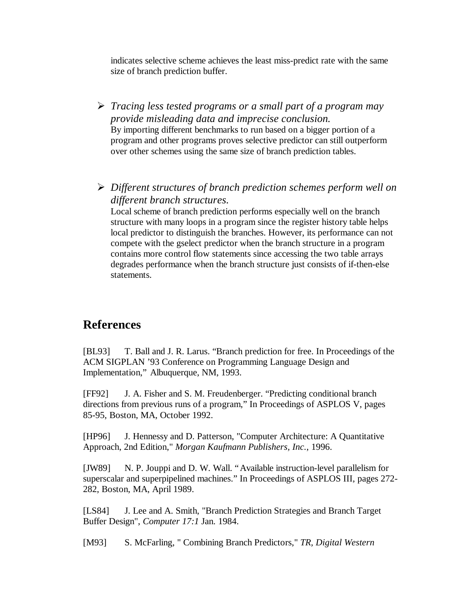indicates selective scheme achieves the least miss-predict rate with the same size of branch prediction buffer.

- ÿ *Tracing less tested programs or a small part of a program may provide misleading data and imprecise conclusion.* By importing different benchmarks to run based on a bigger portion of a program and other programs proves selective predictor can still outperform over other schemes using the same size of branch prediction tables.
- ÿ *Different structures of branch prediction schemes perform well on different branch structures.*

Local scheme of branch prediction performs especially well on the branch structure with many loops in a program since the register history table helps local predictor to distinguish the branches. However, its performance can not compete with the gselect predictor when the branch structure in a program contains more control flow statements since accessing the two table arrays degrades performance when the branch structure just consists of if-then-else statements.

### **References**

[BL93] T. Ball and J. R. Larus. "Branch prediction for free. In Proceedings of the ACM SIGPLAN '93 Conference on Programming Language Design and Implementation," Albuquerque, NM, 1993.

[FF92] J. A. Fisher and S. M. Freudenberger. "Predicting conditional branch directions from previous runs of a program," In Proceedings of ASPLOS V, pages 85-95, Boston, MA, October 1992.

[HP96] J. Hennessy and D. Patterson, "Computer Architecture: A Quantitative Approach, 2nd Edition," *Morgan Kaufmann Publishers, Inc.*, 1996.

[JW89] N. P. Jouppi and D. W. Wall. "Available instruction-level parallelism for superscalar and superpipelined machines." In Proceedings of ASPLOS III, pages 272- 282, Boston, MA, April 1989.

[LS84] J. Lee and A. Smith, "Branch Prediction Strategies and Branch Target Buffer Design", *Computer 17:1* Jan. 1984.

[M93] S. McFarling, " Combining Branch Predictors," *TR, Digital Western*